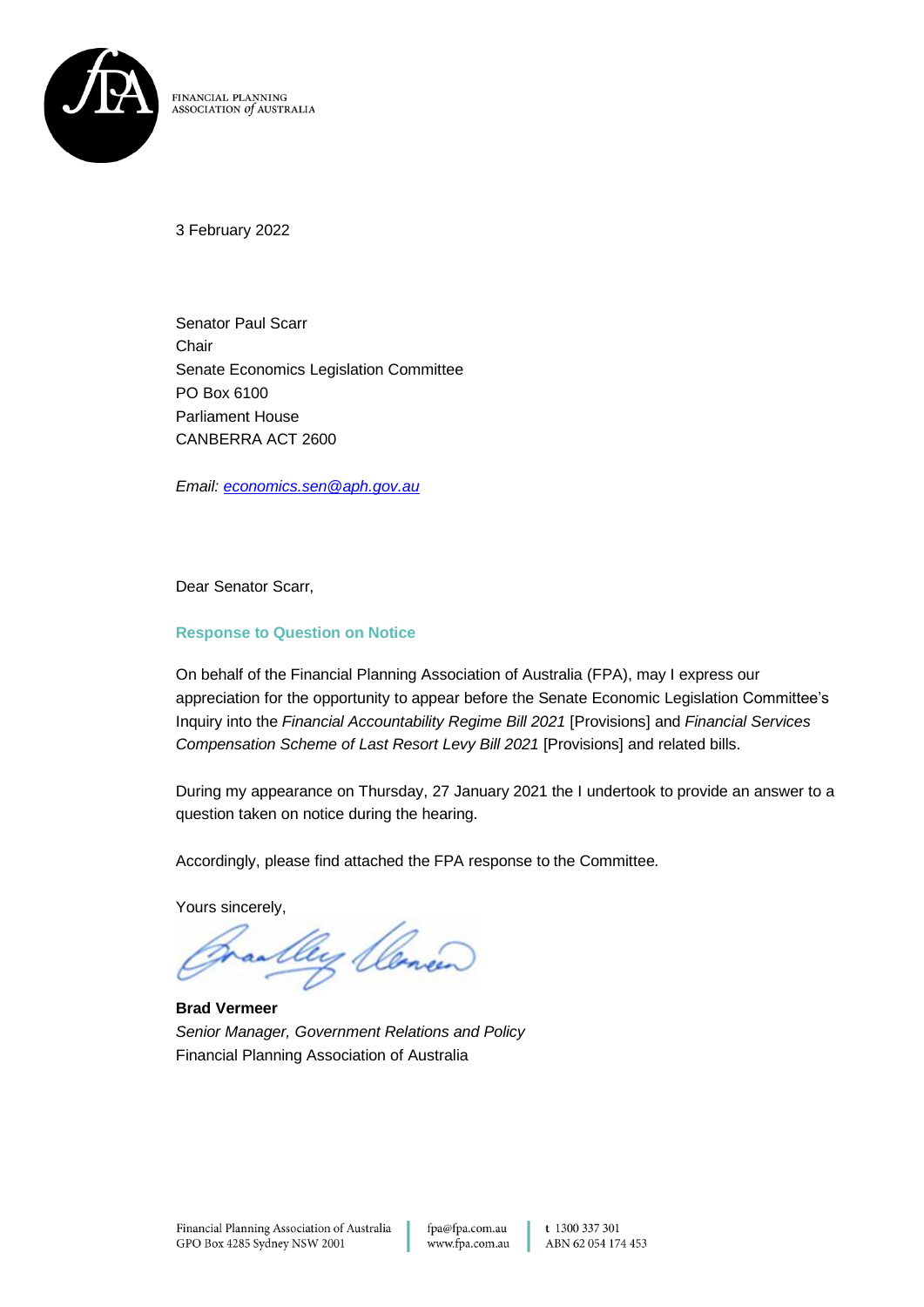

FINANCIAL PLANNING **ASSOCIATION** *of* AUSTRALIA

3 February 2022

Senator Paul Scarr **Chair** Senate Economics Legislation Committee PO Box 6100 Parliament House CANBERRA ACT 2600

*Email: [economics.sen@aph.gov.au](mailto:economics.sen@aph.gov.au)*

Dear Senator Scarr,

#### **Response to Question on Notice**

On behalf of the Financial Planning Association of Australia (FPA), may I express our appreciation for the opportunity to appear before the Senate Economic Legislation Committee's Inquiry into the *Financial Accountability Regime Bill 2021* [Provisions] and *Financial Services Compensation Scheme of Last Resort Levy Bill 2021* [Provisions] and related bills.

During my appearance on Thursday, 27 January 2021 the I undertook to provide an answer to a question taken on notice during the hearing.

Accordingly, please find attached the FPA response to the Committee.

Yours sincerely,

ay llene

**Brad Vermeer** *Senior Manager, Government Relations and Policy* Financial Planning Association of Australia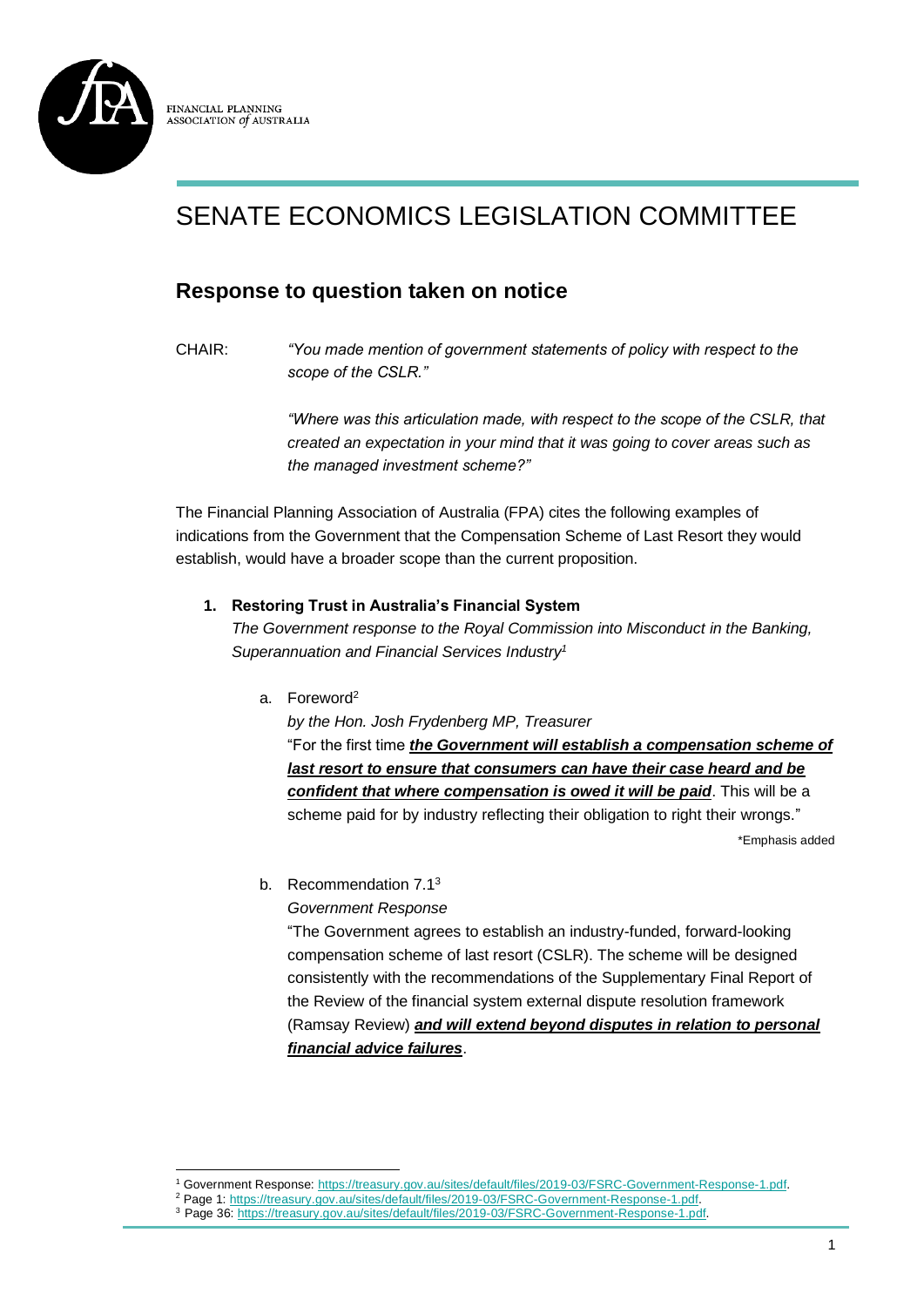

# SENATE ECONOMICS LEGISLATION COMMITTEE

## **Response to question taken on notice**

CHAIR: *"You made mention of government statements of policy with respect to the scope of the CSLR."*

> *"Where was this articulation made, with respect to the scope of the CSLR, that created an expectation in your mind that it was going to cover areas such as the managed investment scheme?"*

The Financial Planning Association of Australia (FPA) cites the following examples of indications from the Government that the Compensation Scheme of Last Resort they would establish, would have a broader scope than the current proposition.

#### **1. Restoring Trust in Australia's Financial System**

*The Government response to the Royal Commission into Misconduct in the Banking, Superannuation and Financial Services Industry<sup>1</sup>*

a. Foreword<sup>2</sup>

*by the Hon. Josh Frydenberg MP, Treasurer* "For the first time *the Government will establish a compensation scheme of last resort to ensure that consumers can have their case heard and be confident that where compensation is owed it will be paid*. This will be a scheme paid for by industry reflecting their obligation to right their wrongs."

\*Emphasis added

b. Recommendation 7.1<sup>3</sup>

*Government Response*

"The Government agrees to establish an industry-funded, forward-looking compensation scheme of last resort (CSLR). The scheme will be designed consistently with the recommendations of the Supplementary Final Report of the Review of the financial system external dispute resolution framework (Ramsay Review) *and will extend beyond disputes in relation to personal financial advice failures*.

<sup>1</sup> Government Response: [https://treasury.gov.au/sites/default/files/2019-03/FSRC-Government-Response-1.pdf.](https://treasury.gov.au/sites/default/files/2019-03/FSRC-Government-Response-1.pdf)

<sup>&</sup>lt;sup>2</sup> Page 1: https://treasury.gov.au/sites/default/files/2019-03/FSRC-Government-Response-1.pdf

<sup>3</sup> Page 36: [https://treasury.gov.au/sites/default/files/2019-03/FSRC-Government-Response-1.pdf.](https://treasury.gov.au/sites/default/files/2019-03/FSRC-Government-Response-1.pdf)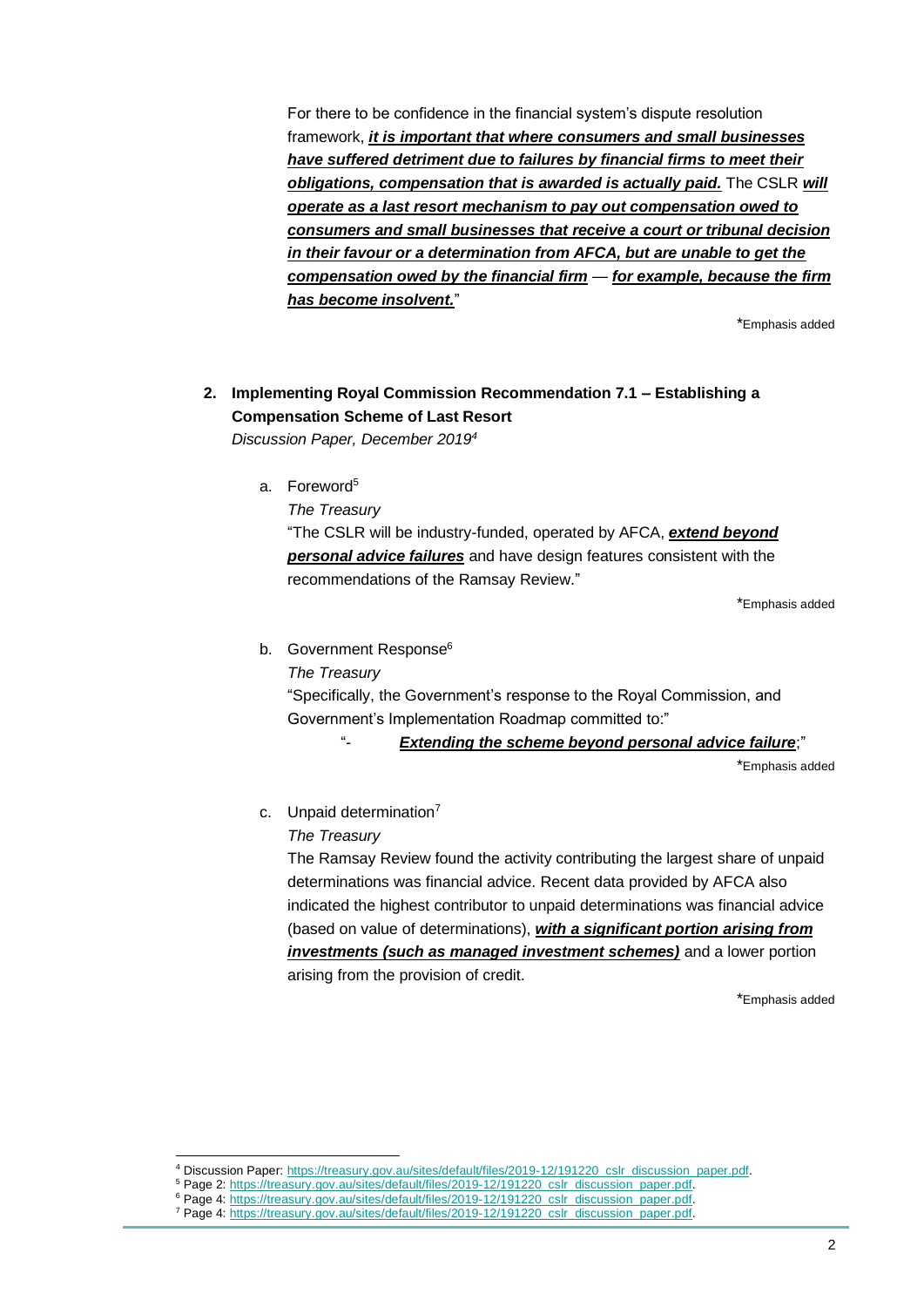For there to be confidence in the financial system's dispute resolution framework, *it is important that where consumers and small businesses have suffered detriment due to failures by financial firms to meet their obligations, compensation that is awarded is actually paid.* The CSLR *will operate as a last resort mechanism to pay out compensation owed to consumers and small businesses that receive a court or tribunal decision in their favour or a determination from AFCA, but are unable to get the compensation owed by the financial firm* — *for example, because the firm has become insolvent.*"

\*Emphasis added

### **2. Implementing Royal Commission Recommendation 7.1 – Establishing a Compensation Scheme of Last Resort**

*Discussion Paper, December 2019<sup>4</sup>*

a. Foreword<sup>5</sup>

*The Treasury*

"The CSLR will be industry-funded, operated by AFCA, *extend beyond personal advice failures* and have design features consistent with the recommendations of the Ramsay Review."

\*Emphasis added

b. Government Response<sup>6</sup>

*The Treasury*

"Specifically, the Government's response to the Royal Commission, and Government's Implementation Roadmap committed to:"

"- *Extending the scheme beyond personal advice failure*;"

\*Emphasis added

c. Unpaid determination<sup>7</sup>

*The Treasury*

The Ramsay Review found the activity contributing the largest share of unpaid determinations was financial advice. Recent data provided by AFCA also indicated the highest contributor to unpaid determinations was financial advice (based on value of determinations), *with a significant portion arising from investments (such as managed investment schemes)* and a lower portion arising from the provision of credit.

\*Emphasis added

<sup>4</sup> Discussion Paper: [https://treasury.gov.au/sites/default/files/2019-12/191220\\_cslr\\_discussion\\_paper.pdf.](https://treasury.gov.au/sites/default/files/2019-12/191220_cslr_discussion_paper.pdf)

<sup>&</sup>lt;sup>5</sup> Page 2: [https://treasury.gov.au/sites/default/files/2019-12/191220\\_cslr\\_discussion\\_paper.pdf.](https://treasury.gov.au/sites/default/files/2019-12/191220_cslr_discussion_paper.pdf)

<sup>&</sup>lt;sup>6</sup> Page 4: [https://treasury.gov.au/sites/default/files/2019-12/191220\\_cslr\\_discussion\\_paper.pdf.](https://treasury.gov.au/sites/default/files/2019-12/191220_cslr_discussion_paper.pdf)

<sup>&</sup>lt;sup>7</sup> Page 4: [https://treasury.gov.au/sites/default/files/2019-12/191220\\_cslr\\_discussion\\_paper.pdf.](https://treasury.gov.au/sites/default/files/2019-12/191220_cslr_discussion_paper.pdf)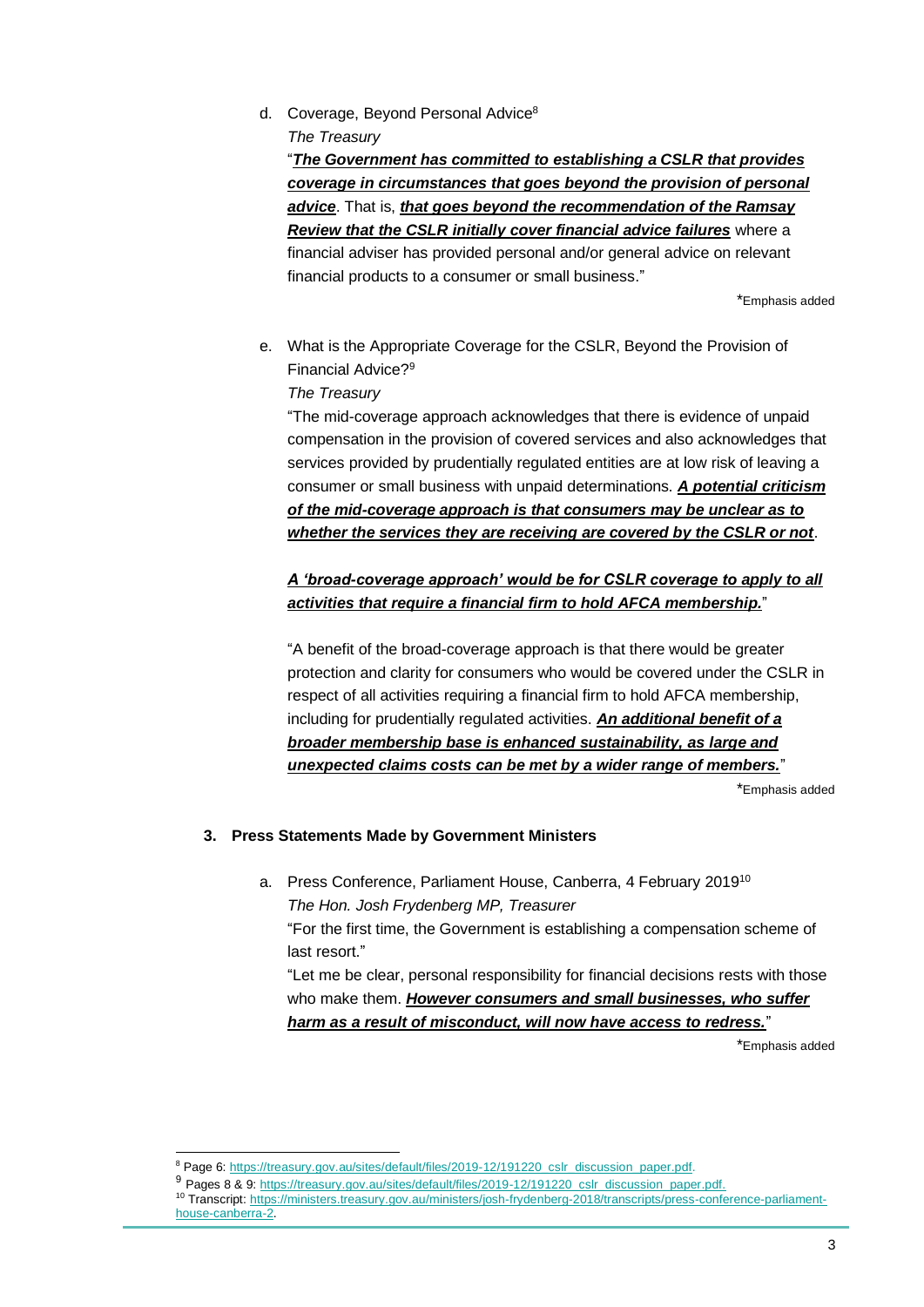d. Coverage, Beyond Personal Advice<sup>8</sup> *The Treasury*

"*The Government has committed to establishing a CSLR that provides coverage in circumstances that goes beyond the provision of personal advice*. That is, *that goes beyond the recommendation of the Ramsay Review that the CSLR initially cover financial advice failures* where a financial adviser has provided personal and/or general advice on relevant financial products to a consumer or small business."

\*Emphasis added

e. What is the Appropriate Coverage for the CSLR, Beyond the Provision of Financial Advice? 9

*The Treasury*

"The mid-coverage approach acknowledges that there is evidence of unpaid compensation in the provision of covered services and also acknowledges that services provided by prudentially regulated entities are at low risk of leaving a consumer or small business with unpaid determinations. *A potential criticism of the mid-coverage approach is that consumers may be unclear as to whether the services they are receiving are covered by the CSLR or not*.

#### *A 'broad-coverage approach' would be for CSLR coverage to apply to all activities that require a financial firm to hold AFCA membership.*"

"A benefit of the broad-coverage approach is that there would be greater protection and clarity for consumers who would be covered under the CSLR in respect of all activities requiring a financial firm to hold AFCA membership, including for prudentially regulated activities. *An additional benefit of a broader membership base is enhanced sustainability, as large and unexpected claims costs can be met by a wider range of members.*"

\*Emphasis added

#### **3. Press Statements Made by Government Ministers**

a. Press Conference, Parliament House, Canberra, 4 February 2019<sup>10</sup> *The Hon. Josh Frydenberg MP, Treasurer* "For the first time, the Government is establishing a compensation scheme of last resort." "Let me be clear, personal responsibility for financial decisions rests with those who make them. *However consumers and small businesses, who suffer* 

*harm as a result of misconduct, will now have access to redress.*"

\*Emphasis added

<sup>&</sup>lt;sup>8</sup> Page 6: [https://treasury.gov.au/sites/default/files/2019-12/191220\\_cslr\\_discussion\\_paper.pdf.](https://treasury.gov.au/sites/default/files/2019-12/191220_cslr_discussion_paper.pdf)

<sup>9</sup> Pages 8 & 9: [https://treasury.gov.au/sites/default/files/2019-12/191220\\_cslr\\_discussion\\_paper.pdf.](https://treasury.gov.au/sites/default/files/2019-12/191220_cslr_discussion_paper.pdf)

<sup>10</sup> Transcript: [https://ministers.treasury.gov.au/ministers/josh-frydenberg-2018/transcripts/press-conference-parliament](https://ministers.treasury.gov.au/ministers/josh-frydenberg-2018/transcripts/press-conference-parliament-house-canberra-2)[house-canberra-2.](https://ministers.treasury.gov.au/ministers/josh-frydenberg-2018/transcripts/press-conference-parliament-house-canberra-2)